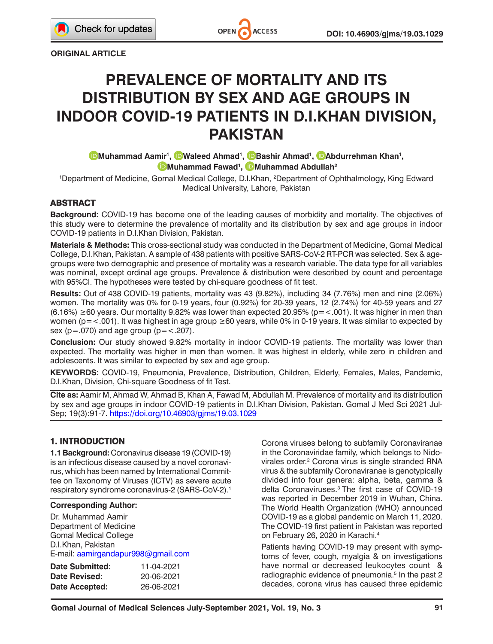**ORIGINAL ARTICLE**

# **PREVALENCE OF MORTALITY AND ITS DISTRIBUTION BY SEX AND AGE GROUPS IN INDOOR COVID-19 PATIENTS IN D.I.KHAN DIVISION, PAKISTAN**

**[M](http://orcid.org/0000-0001-5583-7084)uhammad Aamir1 , [W](http://orcid.org/0000-0003-2953-667X)aleed Ahmad1 , [B](https://orcid.org/0000-0002-3802-402X)ashir Ahmad1 , [A](http://orcid.org/0000-0001-9759-587X)bdurrehman Khan1 , [M](http://orcid.org/0000-0001-6081-5074)uhammad Fawad1 , [M](http://orcid.org/0000-0001-5856-6857)uhammad Abdullah2**

1 Department of Medicine, Gomal Medical College, D.I.Khan, 2 Department of Ophthalmology, King Edward Medical University, Lahore, Pakistan

### **ABSTRACT**

**Background:** COVID-19 has become one of the leading causes of morbidity and mortality. The objectives of this study were to determine the prevalence of mortality and its distribution by sex and age groups in indoor COVID-19 patients in D.I.Khan Division, Pakistan.

**Materials & Methods:** This cross-sectional study was conducted in the Department of Medicine, Gomal Medical College, D.I.Khan, Pakistan. A sample of 438 patients with positive SARS-CoV-2 RT-PCR was selected. Sex & agegroups were two demographic and presence of mortality was a research variable. The data type for all variables was nominal, except ordinal age groups. Prevalence & distribution were described by count and percentage with 95%CI. The hypotheses were tested by chi-square goodness of fit test.

**Results:** Out of 438 COVID-19 patients, mortality was 43 (9.82%), including 34 (7.76%) men and nine (2.06%) women. The mortality was 0% for 0-19 years, four (0.92%) for 20-39 years, 12 (2.74%) for 40-59 years and 27  $(6.16%) \ge 60$  years. Our mortality 9.82% was lower than expected 20.95% (p= <.001). It was higher in men than women (p=<.001). It was highest in age group ≥60 years, while 0% in 0-19 years. It was similar to expected by sex ( $p = .070$ ) and age group ( $p = < .207$ ).

**Conclusion:** Our study showed 9.82% mortality in indoor COVID-19 patients. The mortality was lower than expected. The mortality was higher in men than women. It was highest in elderly, while zero in children and adolescents. It was similar to expected by sex and age group.

**KEYWORDS:** COVID-19, Pneumonia, Prevalence, Distribution, Children, Elderly, Females, Males, Pandemic, D.I.Khan, Division, Chi-square Goodness of fit Test.

**Cite as:** Aamir M, Ahmad W, Ahmad B, Khan A, Fawad M, Abdullah M. Prevalence of mortality and its distribution by sex and age groups in indoor COVID-19 patients in D.I.Khan Division, Pakistan. Gomal J Med Sci 2021 Jul-Sep; 19(3):91-7.<https://doi.org/10.46903/gjms/19.03.1029>

## **1. INTRODUCTION**

**1.1 Background:** Coronavirus disease 19 (COVID-19) is an infectious disease caused by a novel coronavirus, which has been named by International Committee on Taxonomy of Viruses (ICTV) as severe acute respiratory syndrome coronavirus-2 (SARS-CoV-2).<sup>1</sup>

#### **Corresponding Author:**

Dr. Muhammad Aamir Department of Medicine Gomal Medical College D.I.Khan, Pakistan E-mail: [aamirgandapur998@gmail.com](mailto:aamirgandapur998@gmail.com)

| Date Submitted: | 11-04-2021 |
|-----------------|------------|
| Date Revised:   | 20-06-2021 |
| Date Accepted:  | 26-06-2021 |

Corona viruses belong to subfamily Coronaviranae in the Coronaviridae family, which belongs to Nidovirales order.<sup>2</sup> Corona virus is single stranded RNA virus & the subfamily Coronaviranae is genotypically divided into four genera: alpha, beta, gamma & delta Coronaviruses.<sup>3</sup> The first case of COVID-19 was reported in December 2019 in Wuhan, China. The World Health Organization (WHO) announced COVID-19 as a global pandemic on March 11, 2020. The COVID-19 first patient in Pakistan was reported on February 26, 2020 in Karachi.<sup>4</sup>

Patients having COVID-19 may present with symptoms of fever, cough, myalgia & on investigations have normal or decreased leukocytes count & radiographic evidence of pneumonia.<sup>5</sup> In the past 2 decades, corona virus has caused three epidemic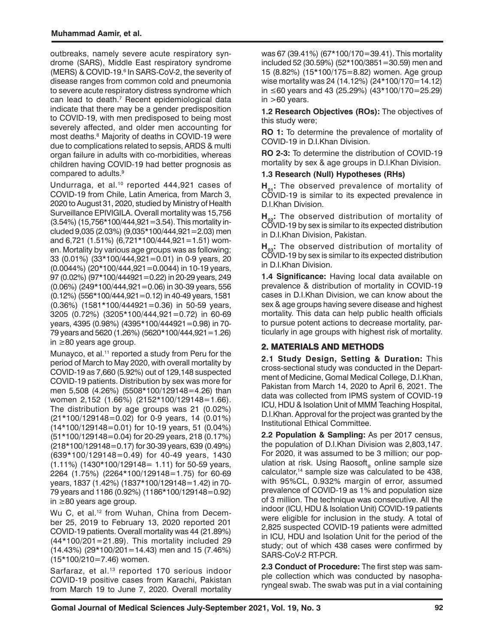outbreaks, namely severe acute respiratory syndrome (SARS), Middle East respiratory syndrome (MERS) & COVID-19.<sup>6</sup> In SARS-CoV-2, the severity of disease ranges from common cold and pneumonia to severe acute respiratory distress syndrome which can lead to death.<sup>7</sup> Recent epidemiological data indicate that there may be a gender predisposition to COVID-19, with men predisposed to being most severely affected, and older men accounting for most deaths.8 Majority of deaths in COVID-19 were due to complications related to sepsis, ARDS & multi organ failure in adults with co-morbidities, whereas children having COVID-19 had better prognosis as compared to adults.<sup>9</sup>

Undurraga, et al.<sup>10</sup> reported 444,921 cases of COVID-19 from Chile, Latin America, from March 3, 2020 to August 31, 2020, studied by Ministry of Health Surveillance EPIVIGILA. Overall mortality was 15,756 (3.54%) (15,756\*100/444,921=3.54). This mortality included 9,035 (2.03%) (9,035\*100/444,921=2.03) men and 6,721 (1.51%) (6,721\*100/444,921=1.51) women. Mortality by various age groups was as following; 33 (0.01%) (33\*100/444,921=0.01) in 0-9 years, 20  $(0.0044\%)$   $(20*100/444.921=0.0044)$  in 10-19 years, 97 (0.02%) (97\*100/444921=0.22) in 20-29 years, 249 (0.06%) (249\*100/444,921=0.06) in 30-39 years, 556 (0.12%) (556\*100/444,921=0.12) in 40-49 years, 1581 (0.36%) (1581\*100/444921=0.36) in 50-59 years, 3205 (0.72%) (3205\*100/444,921=0.72) in 60-69 years, 4395 (0.98%) (4395\*100/444921=0.98) in 70- 79 years and 5620 (1.26%) (5620\*100/444,921=1.26) in ≥80 years age group.

Munayco, et al.<sup>11</sup> reported a study from Peru for the period of March to May 2020, with overall mortality by COVID-19 as 7,660 (5.92%) out of 129,148 suspected COVID-19 patients. Distribution by sex was more for men 5,508 (4.26%) (5508\*100/129148=4.26) than women 2,152 (1.66%) (2152\*100/129148=1.66). The distribution by age groups was 21 (0.02%) (21\*100/129148=0.02) for 0-9 years, 14 (0.01%) (14\*100/129148=0.01) for 10-19 years, 51 (0.04%) (51\*100/129148=0.04) for 20-29 years, 218 (0.17%) (218\*100/129148=0.17) for 30-39 years, 639 (0.49%) (639\*100/129148=0.49) for 40-49 years, 1430 (1.11%) (1430\*100/129148= 1.11) for 50-59 years, 2264 (1.75%) (2264\*100/129148=1.75) for 60-69 years, 1837 (1.42%) (1837\*100/129148=1.42) in 70- 79 years and 1186 (0.92%) (1186\*100/129148=0.92) in ≥80 years age group.

Wu C, et al.<sup>12</sup> from Wuhan, China from December 25, 2019 to February 13, 2020 reported 201 COVID-19 patients. Overall mortality was 44 (21.89%) (44\*100/201=21.89). This mortality included 29 (14.43%) (29\*100/201=14.43) men and 15 (7.46%) (15\*100/210=7.46) women.

Sarfaraz, et al.<sup>13</sup> reported 170 serious indoor COVID-19 positive cases from Karachi, Pakistan from March 19 to June 7, 2020. Overall mortality

was 67 (39.41%) (67\*100/170=39.41). This mortality included 52 (30.59%) (52\*100/3851=30.59) men and 15 (8.82%) (15\*100/175=8.82) women. Age group wise mortality was 24 (14.12%) (24\*100/170=14.12) in ≤60 years and 43 (25.29%) (43\*100/170=25.29) in  $>60$  years.

**1.2 Research Objectives (ROs):** The objectives of this study were;

**RO 1:** To determine the prevalence of mortality of COVID-19 in D.I.Khan Division.

**RO 2-3:** To determine the distribution of COVID-19 mortality by sex & age groups in D.I.Khan Division.

#### **1.3 Research (Null) Hypotheses (RHs)**

H<sub>01</sub>: The observed prevalence of mortality of COVID-19 is similar to its expected prevalence in D.I.Khan Division.

H<sub>no</sub>: The observed distribution of mortality of COVID-19 by sex is similar to its expected distribution in D.I.Khan Division, Pakistan.

H<sub>00</sub>: The observed distribution of mortality of COVID-19 by sex is similar to its expected distribution in D.I.Khan Division.

**1.4 Significance:** Having local data available on prevalence & distribution of mortality in COVID-19 cases in D.I.Khan Division, we can know about the sex & age groups having severe disease and highest mortality. This data can help public health officials to pursue potent actions to decrease mortality, particularly in age groups with highest risk of mortality.

# **2. MATERIALS AND METHODS**

**2.1 Study Design, Setting & Duration:** This cross-sectional study was conducted in the Department of Medicine, Gomal Medical College, D.I.Khan, Pakistan from March 14, 2020 to April 6, 2021. The data was collected from IPMS system of COVID-19 ICU, HDU & Isolation Unit of MMM Teaching Hospital, D.I.Khan. Approval for the project was granted by the Institutional Ethical Committee.

**2.2 Population & Sampling:** As per 2017 census, the population of D.I.Khan Division was 2,803,147. For 2020, it was assumed to be 3 million; our population at risk. Using Raosoft online sample size calculator,14 sample size was calculated to be 438, with 95%CL, 0.932% margin of error, assumed prevalence of COVID-19 as 1% and population size of 3 million. The technique was consecutive. All the indoor (ICU, HDU & Isolation Unit) COVID-19 patients were eligible for inclusion in the study. A total of 2,825 suspected COVID-19 patients were admitted in ICU, HDU and Isolation Unit for the period of the study; out of which 438 cases were confirmed by SARS-CoV-2 RT-PCR.

**2.3 Conduct of Procedure:** The first step was sample collection which was conducted by nasopharyngeal swab. The swab was put in a vial containing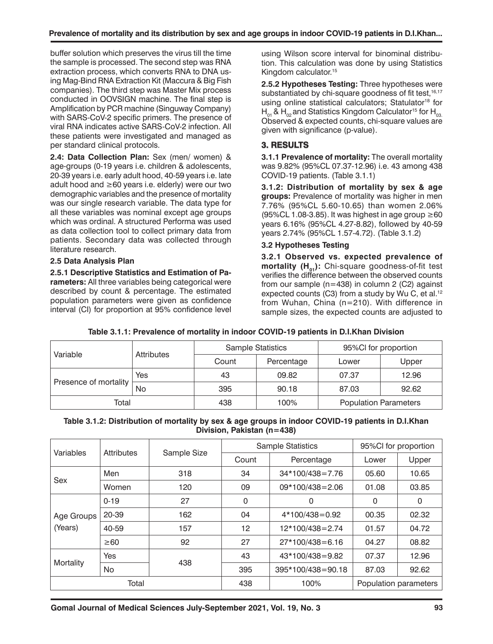buffer solution which preserves the virus till the time the sample is processed. The second step was RNA extraction process, which converts RNA to DNA using Mag-Bind RNA Extraction Kit (Maccura & Big Fish companies). The third step was Master Mix process conducted in OOVSIGN machine. The final step is Amplification by PCR machine (Singuway Company) with SARS-CoV-2 specific primers. The presence of viral RNA indicates active SARS-CoV-2 infection. All these patients were investigated and managed as per standard clinical protocols.

**2.4: Data Collection Plan:** Sex (men/ women) & age-groups (0-19 years i.e. children & adolescents, 20-39 years i.e. early adult hood, 40-59 years i.e. late adult hood and ≥60 years i.e. elderly) were our two demographic variables and the presence of mortality was our single research variable. The data type for all these variables was nominal except age groups which was ordinal. A structured Performa was used as data collection tool to collect primary data from patients. Secondary data was collected through literature research.

#### **2.5 Data Analysis Plan**

**2.5.1 Descriptive Statistics and Estimation of Parameters:** All three variables being categorical were described by count & percentage. The estimated population parameters were given as confidence interval (CI) for proportion at 95% confidence level

using Wilson score interval for binominal distribution. This calculation was done by using Statistics Kingdom calculator.15

**2.5.2 Hypotheses Testing:** Three hypotheses were substantiated by chi-square goodness of fit test, 16,17 using online statistical calculators; Statulator<sup>18</sup> for  $H_{01}$  &  $H_{02}$  and Statistics Kingdom Calculator<sup>15</sup> for  $H_{03}$ . Observed & expected counts, chi-square values are given with significance (p-value).

## **3. RESULTS**

**3.1.1 Prevalence of mortality:** The overall mortality was 9.82% (95%CL 07.37-12.96) i.e. 43 among 438 COVID-19 patients. (Table 3.1.1)

**3.1.2: Distribution of mortality by sex & age groups:** Prevalence of mortality was higher in men 7.76% (95%CL 5.60-10.65) than women 2.06% (95%CL 1.08-3.85). It was highest in age group  $\geq 60$ years 6.16% (95%CL 4.27-8.82), followed by 40-59 years 2.74% (95%CL 1.57-4.72). (Table 3.1.2)

#### **3.2 Hypotheses Testing**

**3.2.1 Observed vs. expected prevalence of**  mortality (H<sub>01</sub>): Chi-square goodness-of-fit test verifies the difference between the observed counts from our sample  $(n=438)$  in column 2 (C2) against expected counts (C3) from a study by Wu C, et al.<sup>12</sup> from Wuhan, China (n=210). With difference in sample sizes, the expected counts are adjusted to

| Table 3.1.1: Prevalence of mortality in indoor COVID-19 patients in D.I.Khan Division |  |
|---------------------------------------------------------------------------------------|--|
|---------------------------------------------------------------------------------------|--|

| Variable              | Attributes |       | <b>Sample Statistics</b> | 95%Cl for proportion         |       |  |
|-----------------------|------------|-------|--------------------------|------------------------------|-------|--|
|                       |            | Count | Percentage               | Lower                        | Upper |  |
| Presence of mortality | Yes        | 43    | 09.82                    | 07.37                        | 12.96 |  |
|                       | No         | 395   | 90.18                    | 87.03                        | 92.62 |  |
| Total                 |            | 438   | 100%                     | <b>Population Parameters</b> |       |  |

#### **Table 3.1.2: Distribution of mortality by sex & age groups in indoor COVID-19 patients in D.I.Khan Division, Pakistan (n=438)**

| Variables  | Attributes |             |       | <b>Sample Statistics</b> | 95%Cl for proportion  |       |  |
|------------|------------|-------------|-------|--------------------------|-----------------------|-------|--|
|            |            | Sample Size | Count | Percentage               | Lower                 | Upper |  |
| Sex        | Men        | 318         | 34    | $34*100/438=7.76$        | 05.60                 | 10.65 |  |
|            | Women      | 120         | 09    | $09*100/438 = 2.06$      | 01.08                 | 03.85 |  |
|            | $0 - 19$   | 27          | 0     | 0                        | $\mathbf 0$           | 0     |  |
| Age Groups | 20-39      | 162         | 04    | $4*100/438=0.92$         | 00.35                 | 02.32 |  |
| (Years)    | 40-59      | 157         | 12    | 12*100/438=2.74          | 01.57                 | 04.72 |  |
|            | $\geq 60$  | 92          | 27    | $27*100/438=6.16$        | 04.27                 | 08.82 |  |
|            | <b>Yes</b> | 438         | 43    | 43*100/438=9.82          | 07.37                 | 12.96 |  |
| Mortality  | No.        |             | 395   | 395*100/438=90.18        | 87.03                 | 92.62 |  |
| Total      |            | 438         | 100%  |                          | Population parameters |       |  |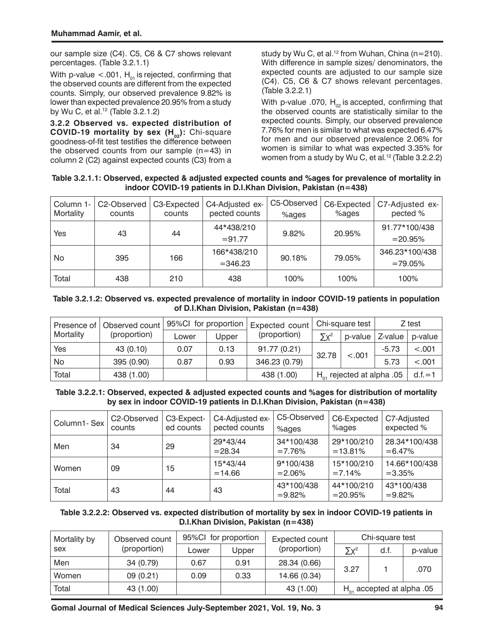our sample size (C4). C5, C6 & C7 shows relevant percentages. (Table 3.2.1.1)

With p-value  $< .001$ , H<sub>01</sub> is rejected, confirming that the observed counts are different from the expected counts. Simply, our observed prevalence 9.82% is lower than expected prevalence 20.95% from a study by Wu C, et al.12 (Table 3.2.1.2)

**3.2.2 Observed vs. expected distribution of COVID-19 mortality by sex (H<sub>02</sub>): Chi-square** goodness-of-fit test testifies the difference between the observed counts from our sample  $(n=43)$  in column 2 (C2) against expected counts (C3) from a

study by Wu C, et al.<sup>12</sup> from Wuhan, China ( $n=210$ ). With difference in sample sizes/ denominators, the expected counts are adjusted to our sample size (C4). C5, C6 & C7 shows relevant percentages. (Table 3.2.2.1)

With p-value .070,  $H_{02}$  is accepted, confirming that the observed counts are statistically similar to the expected counts. Simply, our observed prevalence 7.76% for men is similar to what was expected 6.47% for men and our observed prevalence 2.06% for women is similar to what was expected 3.35% for women from a study by Wu C, et al.<sup>12</sup> (Table 3.2.2.2)

**Table 3.2.1.1: Observed, expected & adjusted expected counts and %ages for prevalence of mortality in indoor COVID-19 patients in D.I.Khan Division, Pakistan (n=438)**

| Column 1-<br>Mortality | C2-Observed<br>counts | C3-Expected<br>counts | C4-Adjusted ex-<br>pected counts | C5-Observed<br>%ages | C6-Expected<br>%ages | C7-Adjusted ex-<br>pected % |
|------------------------|-----------------------|-----------------------|----------------------------------|----------------------|----------------------|-----------------------------|
| Yes                    | 43                    | 44                    | 44*438/210                       | 9.82%                | 20.95%               | 91.77*100/438               |
|                        |                       |                       | $= 91.77$                        |                      |                      | $= 20.95%$                  |
| No                     |                       |                       | 166*438/210                      | 90.18%               | 79.05%               | 346.23*100/438              |
| 395                    |                       | 166                   | $= 346.23$                       |                      |                      | $=79.05%$                   |
| Total                  | 438                   | 210                   | 438                              | 100%                 | 100%                 | 100%                        |

#### **Table 3.2.1.2: Observed vs. expected prevalence of mortality in indoor COVID-19 patients in population of D.I.Khan Division, Pakistan (n=438)**

| Observed count<br>Presence of I |              | 95%Cl for proportion |       | Expected count |                                      | Chi-square test | Z test  |            |
|---------------------------------|--------------|----------------------|-------|----------------|--------------------------------------|-----------------|---------|------------|
| Mortality                       | (proportion) | Lower                | Upper | (proportion)   | $\nabla v^2$                         | p-value         | Z-value | p-value    |
| Yes                             | 43 (0.10)    | 0.07                 | 0.13  | 91.77 (0.21)   |                                      |                 | $-5.73$ | < 0.001    |
| No                              | 395 (0.90)   | 0.87                 | 0.93  | 346.23 (0.79)  | 32.78<br>< .001                      |                 | 5.73    | < .001     |
| Total                           | 438 (1.00)   |                      |       | 438 (1.00)     | $H_{\alpha}$ , rejected at alpha .05 |                 |         | $d.f. = 1$ |

#### **Table 3.2.2.1: Observed, expected & adjusted expected counts and %ages for distribution of mortality by sex in indoor COVID-19 patients in D.I.Khan Division, Pakistan (n=438)**

| Column1-Sex | C <sub>2</sub> -Observed<br>counts | C3-Expect-<br>ed counts | C4-Adjusted ex-<br>pected counts | C5-Observed<br>%ages    | C6-Expected<br>%ages     | C7-Adjusted<br>expected %   |
|-------------|------------------------------------|-------------------------|----------------------------------|-------------------------|--------------------------|-----------------------------|
| Men         | 34                                 | 29                      | 29*43/44<br>$= 28.34$            | 34*100/438<br>$=7.76%$  | 29*100/210<br>$=13.81%$  | 28.34*100/438<br>$= 6.47\%$ |
| Women       | 09                                 | 15                      | 15*43/44<br>$= 14.66$            | 9*100/438<br>$= 2.06\%$ | 15*100/210<br>$= 7.14%$  | 14.66*100/438<br>$= 3.35\%$ |
| Total       | 43                                 | 44                      | 43                               | 43*100/438<br>$= 9.82%$ | 44*100/210<br>$= 20.95%$ | 43*100/438<br>$= 9.82\%$    |

#### **Table 3.2.2.2: Observed vs. expected distribution of mortality by sex in indoor COVID-19 patients in D.I.Khan Division, Pakistan (n=438)**

| Mortality by | Observed count | 95%Cl for proportion |       | Expected count | Chi-square test                |      |         |
|--------------|----------------|----------------------|-------|----------------|--------------------------------|------|---------|
| sex          | (proportion)   | Lower                | Upper | (proportion)   | $\Sigma x^2$                   | d.f. | p-value |
| Men          | 34 (0.79)      | 0.67                 | 0.91  | 28.34 (0.66)   | 3.27                           |      | .070    |
| Women        | 09(0.21)       | 0.09                 | 0.33  | 14.66 (0.34)   |                                |      |         |
| Total        | 43 (1.00)      |                      |       | 43 (1.00)      | $H_{01}$ accepted at alpha .05 |      |         |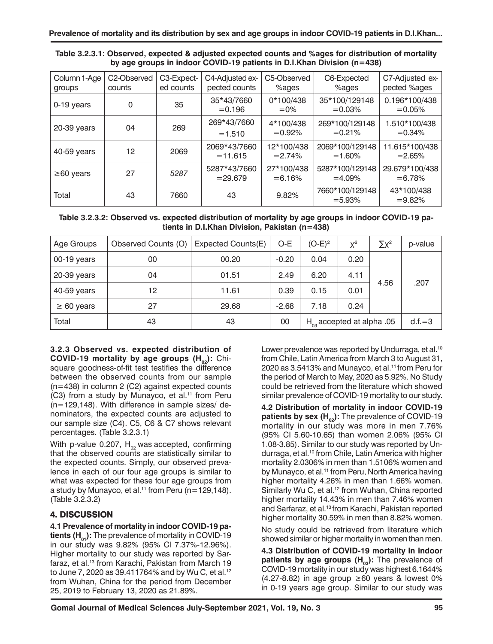| Table 3.2.3.1: Observed, expected & adjusted expected counts and %ages for distribution of mortality |  |
|------------------------------------------------------------------------------------------------------|--|
| by age groups in indoor COVID-19 patients in D.I.Khan Division (n=438)                               |  |

| Column 1-Age<br>groups | C <sub>2</sub> -Observed<br>counts | C3-Expect-<br>ed counts | C4-Adjusted ex-<br>pected counts | C5-Observed<br>%ages     | C6-Expected<br>%ages         | C7-Adjusted ex-<br>pected %ages |
|------------------------|------------------------------------|-------------------------|----------------------------------|--------------------------|------------------------------|---------------------------------|
| 0-19 years             | $\Omega$                           | 35                      | 35*43/7660<br>$= 0.196$          | 0*100/438<br>$=0\%$      | 35*100/129148<br>$= 0.03\%$  | 0.196*100/438<br>$= 0.05%$      |
| 20-39 years            | 04                                 | 269                     | 269*43/7660<br>$=1.510$          | 4*100/438<br>$= 0.92\%$  | 269*100/129148<br>$= 0.21%$  | 1.510*100/438<br>$= 0.34\%$     |
| 40-59 years            | 12                                 | 2069                    | 2069*43/7660<br>$= 11.615$       | 12*100/438<br>$= 2.74\%$ | 2069*100/129148<br>$=1.60%$  | 11.615*100/438<br>$= 2.65%$     |
| $\geq$ 60 years        | 27                                 | 5287                    | 5287*43/7660<br>$= 29.679$       | 27*100/438<br>$= 6.16%$  | 5287*100/129148<br>$=4.09%$  | 29.679*100/438<br>$= 6.78%$     |
| Total                  | 43                                 | 7660                    | 43                               | 9.82%                    | 7660*100/129148<br>$= 5.93%$ | 43*100/438<br>$= 9.82%$         |

| Table 3.2.3.2: Observed vs. expected distribution of mortality by age groups in indoor COVID-19 pa- |  |
|-----------------------------------------------------------------------------------------------------|--|
| tients in D.I.Khan Division, Pakistan $(n=438)$                                                     |  |

| Age Groups      | Observed Counts (O) | Expected Counts(E) | $O-E$   | $(O-E)^2$                          | $X^2$ | $\Sigma x^2$ | p-value  |
|-----------------|---------------------|--------------------|---------|------------------------------------|-------|--------------|----------|
| $00-19$ years   | 00                  | 00.20              | $-0.20$ | 0.04                               | 0.20  |              |          |
| 20-39 years     | 04                  | 01.51              | 2.49    | 6.20                               | 4.11  | 4.56         |          |
| 40-59 years     | 12                  | 11.61              | 0.39    | 0.15                               | 0.01  |              | .207     |
| $\geq 60$ years | 27                  | 29.68              | $-2.68$ | 7.18                               | 0.24  |              |          |
| Total           | 43                  | 43                 | 00      | $H_{\infty}$ accepted at alpha .05 |       |              | $d.f.=3$ |

**3.2.3 Observed vs. expected distribution of COVID-19 mortality by age groups (H<sub>02</sub>): Chi**square goodness-of-fit test testifies the difference between the observed counts from our sample (n=438) in column 2 (C2) against expected counts (C3) from a study by Munayco, et al.<sup>11</sup> from Peru (n=129,148). With difference in sample sizes/ denominators, the expected counts are adjusted to our sample size (C4). C5, C6 & C7 shows relevant percentages. (Table 3.2.3.1)

With p-value 0.207,  $H_{02}$  was accepted, confirming that the observed counts are statistically similar to the expected counts. Simply, our observed prevalence in each of our four age groups is similar to what was expected for these four age groups from a study by Munayco, et al.<sup>11</sup> from Peru ( $n=129,148$ ). (Table 3.2.3.2)

# **4. DISCUSSION**

**4.1 Prevalence of mortality in indoor COVID-19 patients (H<sub>01</sub>):** The prevalence of mortality in COVID-19 in our study was 9.82% (95% Cl 7.37%-12.96%). Higher mortality to our study was reported by Sarfaraz, et al.13 from Karachi, Pakistan from March 19 to June 7, 2020 as 39.411764% and by Wu C, et al.<sup>12</sup> from Wuhan, China for the period from December 25, 2019 to February 13, 2020 as 21.89%.

Lower prevalence was reported by Undurraga, et al.<sup>10</sup> from Chile, Latin America from March 3 to August 31, 2020 as 3.5413% and Munayco, et al.<sup>11</sup> from Peru for the period of March to May, 2020 as 5.92%. No Study could be retrieved from the literature which showed similar prevalence of COVID-19 mortality to our study.

**4.2 Distribution of mortality in indoor COVID-19 patients by sex (H<sub>02</sub>):** The prevalence of COVID-19 mortality in our study was more in men 7.76% (95% CI 5.60-10.65) than women 2.06% (95% CI 1.08-3.85). Similar to our study was reported by Undurraga, et al.<sup>10</sup> from Chile, Latin America with higher mortality 2.0306% in men than 1.5106% women and by Munayco, et al.<sup>11</sup> from Peru, North America having higher mortality 4.26% in men than 1.66% women. Similarly Wu C, et al.<sup>12</sup> from Wuhan, China reported higher mortality 14.43% in men than 7.46% women and Sarfaraz, et al.<sup>13</sup> from Karachi, Pakistan reported higher mortality 30.59% in men than 8.82% women.

No study could be retrieved from literature which showed similar or higher mortality in women than men.

**4.3 Distribution of COVID-19 mortality in indoor patients by age groups (H<sub>03</sub>):** The prevalence of COVID-19 mortality in our study was highest 6.1644% (4.27-8.82) in age group ≥60 years & lowest 0% in 0-19 years age group. Similar to our study was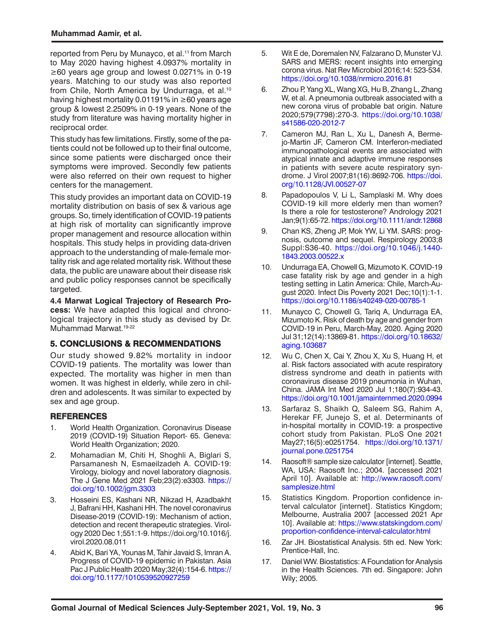reported from Peru by Munayco, et al.<sup>11</sup> from March to May 2020 having highest 4.0937% mortality in ≥60 years age group and lowest 0.0271% in 0-19 years. Matching to our study was also reported from Chile, North America by Undurraga, et al.<sup>10</sup> having highest mortality 0.01191% in ≥60 years age group & lowest 2.2509% in 0-19 years. None of the study from literature was having mortality higher in reciprocal order.

This study has few limitations. Firstly, some of the patients could not be followed up to their final outcome, since some patients were discharged once their symptoms were improved. Secondly few patients were also referred on their own request to higher centers for the management.

This study provides an important data on COVID-19 mortality distribution on basis of sex & various age groups. So, timely identification of COVID-19 patients at high risk of mortality can significantly improve proper management and resource allocation within hospitals. This study helps in providing data-driven approach to the understanding of male-female mortality risk and age related mortality risk. Without these data, the public are unaware about their disease risk and public policy responses cannot be specifically targeted.

**4.4 Marwat Logical Trajectory of Research Process:** We have adapted this logical and chronological trajectory in this study as devised by Dr. Muhammad Marwat.<sup>19-22</sup>

#### **5. CONCLUSIONS & RECOMMENDATIONS**

Our study showed 9.82% mortality in indoor COVID-19 patients. The mortality was lower than expected. The mortality was higher in men than women. It was highest in elderly, while zero in children and adolescents. It was similar to expected by sex and age group.

#### **REFERENCES**

- 1. World Health Organization. Coronavirus Disease 2019 (COVID-19) Situation Report- 65. Geneva: World Health Organization; 2020.
- 2. Mohamadian M, Chiti H, Shoghli A, Biglari S, Parsamanesh N, Esmaeilzadeh A. COVID-19: Virology, biology and novel laboratory diagnosis. The J Gene Med 2021 Feb;23(2):e3303. [https://](https://doi.org/10.1002/jgm.3303) [doi.org/10.1002/jgm.3303](https://doi.org/10.1002/jgm.3303)
- 3. Hosseini ES, Kashani NR, Nikzad H, Azadbakht J, Bafrani HH, Kashani HH. The novel coronavirus Disease-2019 (COVID-19): Mechanism of action, detection and recent therapeutic strategies. Virology 2020 Dec 1;551:1-9. [https://doi.org/10.1016/j.](https://doi.org/10.1016/j.virol.2020.08.011) [virol.2020.08.011](https://doi.org/10.1016/j.virol.2020.08.011)
- 4. Abid K, Bari YA, Younas M, Tahir Javaid S, Imran A. Progress of COVID-19 epidemic in Pakistan. Asia Pac J Public Health 2020 May;32(4):154-6. [https://](https://doi.org/10.1177/1010539520927259) [doi.org/10.1177/1010539520927259](https://doi.org/10.1177/1010539520927259)
- 5. Wit E de, Doremalen NV, Falzarano D, Munster VJ. SARS and MERS: recent insights into emerging corona virus. Nat Rev Microbiol 2016;14: 523-534. <https://doi.org/10.1038/nrmicro.2016.81>
- 6. Zhou P, Yang XL, Wang XG, Hu B, Zhang L, Zhang W, et al. A pneumonia outbreak associated with a new corona virus of probable bat origin. Nature 2020;579(7798):270-3. [https://doi.org/10.1038/](https://doi.org/10.1038/s41586-020-2012-7) [s41586-020-2012-7](https://doi.org/10.1038/s41586-020-2012-7)
- 7. Cameron MJ, Ran L, Xu L, Danesh A, Bermejo-Martin JF, Cameron CM. Interferon-mediated immunopathological events are associated with atypical innate and adaptive immune responses in patients with severe acute respiratory syndrome. J Virol 2007;81(16):8692-706. [https://doi.](https://doi.org/10.1128/JVI.00527-07) [org/10.1128/JVI.00527-07](https://doi.org/10.1128/JVI.00527-07)
- 8. Papadopoulos V, Li L, Samplaski M. Why does COVID-19 kill more elderly men than women? Is there a role for testosterone? Andrology 2021 Jan;9(1):65-72.<https://doi.org/10.1111/andr.12868>
- 9. Chan KS, Zheng JP, Mok YW, Li YM. SARS: prognosis, outcome and sequel. Respirology 2003;8 Suppl:S36-40. [https://doi.org/10.1046/j.1440-](https://doi.org/10.1046/j.1440-1843.2003.00522.x) [1843.2003.00522.x](https://doi.org/10.1046/j.1440-1843.2003.00522.x)
- 10. Undurraga EA, Chowell G, Mizumoto K. COVID-19 case fatality risk by age and gender in a high testing setting in Latin America: Chile, March-August 2020. Infect Dis Poverty 2021 Dec;10(1):1-1. <https://doi.org/10.1186/s40249-020-00785-1>
- 11. Munayco C, Chowell G, Tariq A, Undurraga EA, Mizumoto K. Risk of death by age and gender from COVID-19 in Peru, March-May, 2020. Aging 2020 Jul 31;12(14):13869-81. [https://doi.org/10.18632/](https://doi.org/10.18632/aging.103687) [aging.103687](https://doi.org/10.18632/aging.103687)
- 12. Wu C, Chen X, Cai Y, Zhou X, Xu S, Huang H, et al. Risk factors associated with acute respiratory distress syndrome and death in patients with coronavirus disease 2019 pneumonia in Wuhan, China. JAMA Int Med 2020 Jul 1;180(7):934-43. <https://doi.org/10.1001/jamainternmed.2020.0994>
- 13. Sarfaraz S, Shaikh Q, Saleem SG, Rahim A, Herekar FF, Junejo S, et al. Determinants of in-hospital mortality in COVID-19: a prospective cohort study from Pakistan. PLoS One 2021 May27;16(5):e0251754. [https://doi.org/10.1371/](https://doi.org/10.1371/journal.pone.0251754) [journal.pone.0251754](https://doi.org/10.1371/journal.pone.0251754)
- 14. Raosoft® sample size calculator [internet]. Seattle, WA, USA: Raosoft Inc.; 2004. [accessed 2021 April 10]. Available at: [http://www.raosoft.com/](http://www.raosoft.com/samplesize.html) [samplesize.html](http://www.raosoft.com/samplesize.html)
- 15. Statistics Kingdom. Proportion confidence interval calculator [internet]. Statistics Kingdom; Melbourne, Australia 2007 [accessed 2021 Apr 10]. Available at: [https://www.statskingdom.com/](https://www.statskingdom.com/proportion-confidence-interval-calculator.html) [proportion-confidence-interval-calculator.html](https://www.statskingdom.com/proportion-confidence-interval-calculator.html)
- 16. Zar JH. Biostatistical Analysis. 5th ed. New York: Prentice-Hall, Inc.
- 17. Daniel WW. Biostatistics: A Foundation for Analysis in the Health Sciences. 7th ed. Singapore: John Wily; 2005.